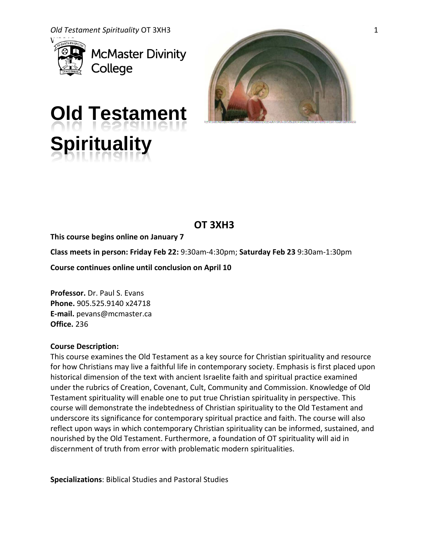

**McMaster Divinity** College



# **Old Testament Spirituality**

# **OT 3XH3**

**This course begins online on January 7**

**Class meets in person: Friday Feb 22:** 9:30am-4:30pm; **Saturday Feb 23** 9:30am-1:30pm

**Course continues online until conclusion on April 10** 

**Professor.** Dr. Paul S. Evans **Phone.** 905.525.9140 x24718 **E-mail.** pevans@mcmaster.ca **Office.** 236

# **Course Description:**

This course examines the Old Testament as a key source for Christian spirituality and resource for how Christians may live a faithful life in contemporary society. Emphasis is first placed upon historical dimension of the text with ancient Israelite faith and spiritual practice examined under the rubrics of Creation, Covenant, Cult, Community and Commission. Knowledge of Old Testament spirituality will enable one to put true Christian spirituality in perspective. This course will demonstrate the indebtedness of Christian spirituality to the Old Testament and underscore its significance for contemporary spiritual practice and faith. The course will also reflect upon ways in which contemporary Christian spirituality can be informed, sustained, and nourished by the Old Testament. Furthermore, a foundation of OT spirituality will aid in discernment of truth from error with problematic modern spiritualities.

**Specializations**: Biblical Studies and Pastoral Studies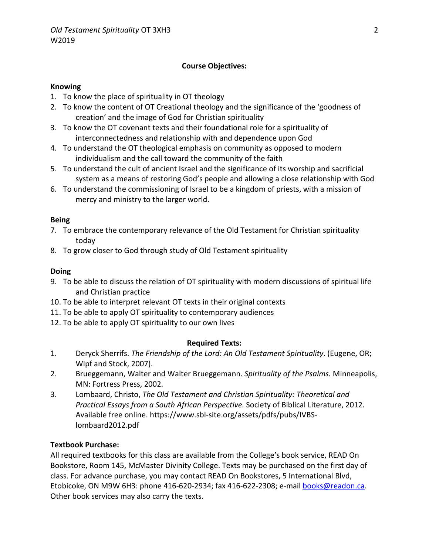# **Course Objectives:**

#### **Knowing**

- 1. To know the place of spirituality in OT theology
- 2. To know the content of OT Creational theology and the significance of the 'goodness of creation' and the image of God for Christian spirituality
- 3. To know the OT covenant texts and their foundational role for a spirituality of interconnectedness and relationship with and dependence upon God
- 4. To understand the OT theological emphasis on community as opposed to modern individualism and the call toward the community of the faith
- 5. To understand the cult of ancient Israel and the significance of its worship and sacrificial system as a means of restoring God's people and allowing a close relationship with God
- 6. To understand the commissioning of Israel to be a kingdom of priests, with a mission of mercy and ministry to the larger world.

#### **Being**

- 7. To embrace the contemporary relevance of the Old Testament for Christian spirituality today
- 8. To grow closer to God through study of Old Testament spirituality

#### **Doing**

- 9. To be able to discuss the relation of OT spirituality with modern discussions of spiritual life and Christian practice
- 10. To be able to interpret relevant OT texts in their original contexts
- 11. To be able to apply OT spirituality to contemporary audiences
- 12. To be able to apply OT spirituality to our own lives

#### **Required Texts:**

- 1. Deryck Sherrifs. *The Friendship of the Lord: An Old Testament Spirituality*. (Eugene, OR; Wipf and Stock, 2007).
- 2. Brueggemann, Walter and Walter Brueggemann. *Spirituality of the Psalms.* Minneapolis, MN: Fortress Press, 2002.
- 3. Lombaard, Christo, *The Old Testament and Christian Spirituality: Theoretical and Practical Essays from a South African Perspective.* Society of Biblical Literature, 2012. Available free online. [https://www.sbl-site.org/assets/pdfs/pubs/IVBS](https://www.sbl-site.org/assets/pdfs/pubs/IVBS-lombaard2012.pdf)[lombaard2012.pdf](https://www.sbl-site.org/assets/pdfs/pubs/IVBS-lombaard2012.pdf)

# **Textbook Purchase:**

All required textbooks for this class are available from the College's book service, READ On Bookstore, Room 145, McMaster Divinity College. Texts may be purchased on the first day of class. For advance purchase, you may contact READ On Bookstores, 5 International Blvd, Etobicoke, ON M9W 6H3: phone 416-620-2934; fax 416-622-2308; e-mail [books@readon.ca.](mailto:books@readon.ca) Other book services may also carry the texts.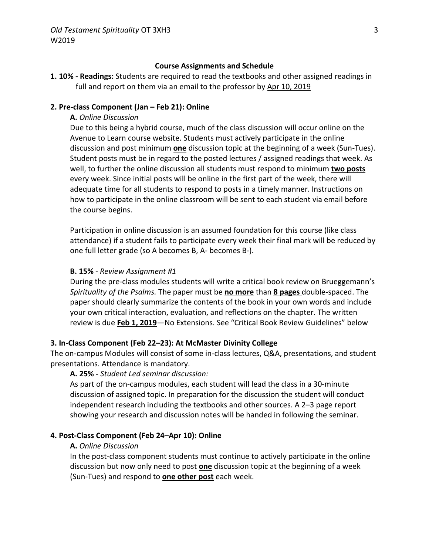#### **Course Assignments and Schedule**

**1. 10% - Readings:** Students are required to read the textbooks and other assigned readings in full and report on them via an email to the professor by Apr 10, 2019

### **2. Pre-class Component (Jan – Feb 21): Online**

#### **A.** *Online Discussion*

Due to this being a hybrid course, much of the class discussion will occur online on the Avenue to Learn course website. Students must actively participate in the online discussion and post minimum **one** discussion topic at the beginning of a week (Sun-Tues). Student posts must be in regard to the posted lectures / assigned readings that week. As well, to further the online discussion all students must respond to minimum **two posts** every week. Since initial posts will be online in the first part of the week, there will adequate time for all students to respond to posts in a timely manner. Instructions on how to participate in the online classroom will be sent to each student via email before the course begins.

Participation in online discussion is an assumed foundation for this course (like class attendance) if a student fails to participate every week their final mark will be reduced by one full letter grade (so A becomes B, A- becomes B-).

#### **B. 15%** - *Review Assignment #1*

During the pre-class modules students will write a critical book review on Brueggemann's *Spirituality of the Psalms.* The paper must be **no more** than **8 pages** double-spaced. The paper should clearly summarize the contents of the book in your own words and include your own critical interaction, evaluation, and reflections on the chapter. The written review is due **Feb 1, 2019**—No Extensions. See "Critical Book Review Guidelines" below

# **3. In-Class Component (Feb 22–23): At McMaster Divinity College**

The on-campus Modules will consist of some in-class lectures, Q&A, presentations, and student presentations. Attendance is mandatory.

#### **A. 25% -** *Student Led seminar discussion:*

As part of the on-campus modules, each student will lead the class in a 30-minute discussion of assigned topic. In preparation for the discussion the student will conduct independent research including the textbooks and other sources. A 2–3 page report showing your research and discussion notes will be handed in following the seminar.

#### **4. Post-Class Component (Feb 24–Apr 10): Online**

#### **A.** *Online Discussion*

In the post-class component students must continue to actively participate in the online discussion but now only need to post **one** discussion topic at the beginning of a week (Sun-Tues) and respond to **one other post** each week.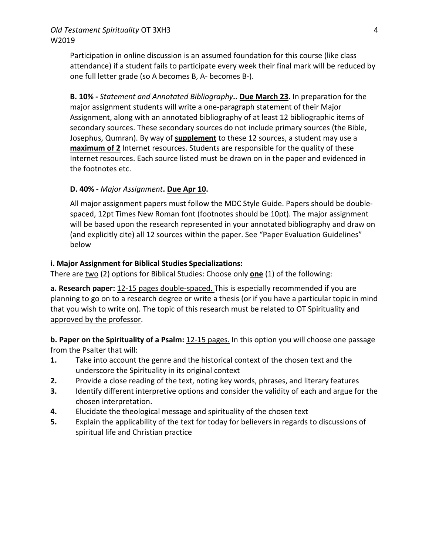# *Old Testament Spirituality* OT 3XH3 W2019

Participation in online discussion is an assumed foundation for this course (like class attendance) if a student fails to participate every week their final mark will be reduced by one full letter grade (so A becomes B, A- becomes B-).

**B. 10% -** *Statement and Annotated Bibliography***.. Due March 23.** In preparation for the major assignment students will write a one-paragraph statement of their Major Assignment, along with an annotated bibliography of at least 12 bibliographic items of secondary sources. These secondary sources do not include primary sources (the Bible, Josephus, Qumran). By way of **supplement** to these 12 sources, a student may use a **maximum of 2** Internet resources. Students are responsible for the quality of these Internet resources. Each source listed must be drawn on in the paper and evidenced in the footnotes etc.

# **D. 40% -** *Major Assignment***. Due Apr 10.**

All major assignment papers must follow the MDC Style Guide. Papers should be doublespaced, 12pt Times New Roman font (footnotes should be 10pt). The major assignment will be based upon the research represented in your annotated bibliography and draw on (and explicitly cite) all 12 sources within the paper. See "Paper Evaluation Guidelines" below

# **i. Major Assignment for Biblical Studies Specializations:**

There are two (2) options for Biblical Studies: Choose only **one** (1) of the following:

**a. Research paper:** 12-15 pages double-spaced. This is especially recommended if you are planning to go on to a research degree or write a thesis (or if you have a particular topic in mind that you wish to write on). The topic of this research must be related to OT Spirituality and approved by the professor.

**b. Paper on the Spirituality of a Psalm:** 12-15 pages. In this option you will choose one passage from the Psalter that will:

- **1.** Take into account the genre and the historical context of the chosen text and the underscore the Spirituality in its original context
- **2.** Provide a close reading of the text, noting key words, phrases, and literary features
- **3.** Identify different interpretive options and consider the validity of each and argue for the chosen interpretation.
- **4.** Elucidate the theological message and spirituality of the chosen text
- **5.** Explain the applicability of the text for today for believers in regards to discussions of spiritual life and Christian practice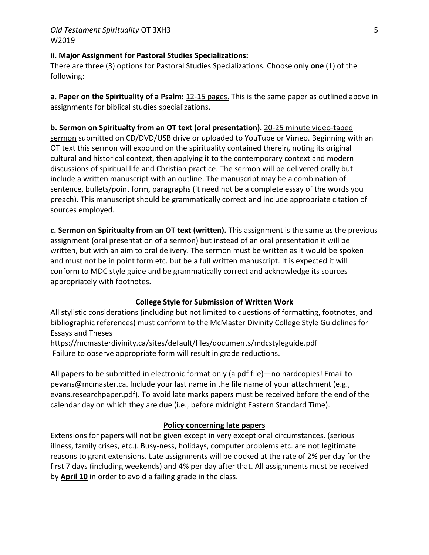# **ii. Major Assignment for Pastoral Studies Specializations:**

There are three (3) options for Pastoral Studies Specializations. Choose only **one** (1) of the following:

**a. Paper on the Spirituality of a Psalm:** 12-15 pages. This is the same paper as outlined above in assignments for biblical studies specializations.

# **b. Sermon on Spiritualty from an OT text (oral presentation).** 20-25 minute video-taped

sermon submitted on CD/DVD/USB drive or uploaded to YouTube or Vimeo. Beginning with an OT text this sermon will expound on the spirituality contained therein, noting its original cultural and historical context, then applying it to the contemporary context and modern discussions of spiritual life and Christian practice. The sermon will be delivered orally but include a written manuscript with an outline. The manuscript may be a combination of sentence, bullets/point form, paragraphs (it need not be a complete essay of the words you preach). This manuscript should be grammatically correct and include appropriate citation of sources employed.

**c. Sermon on Spiritualty from an OT text (written).** This assignment is the same as the previous assignment (oral presentation of a sermon) but instead of an oral presentation it will be written, but with an aim to oral delivery. The sermon must be written as it would be spoken and must not be in point form etc. but be a full written manuscript. It is expected it will conform to MDC style guide and be grammatically correct and acknowledge its sources appropriately with footnotes.

# **College Style for Submission of Written Work**

All stylistic considerations (including but not limited to questions of formatting, footnotes, and bibliographic references) must conform to the McMaster Divinity College Style Guidelines for Essays and Theses

<https://mcmasterdivinity.ca/sites/default/files/documents/mdcstyleguide.pdf> Failure to observe appropriate form will result in grade reductions.

All papers to be submitted in electronic format only (a pdf file)—no hardcopies! Email to pevans@mcmaster.ca. Include your last name in the file name of your attachment (e.g., evans.researchpaper.pdf). To avoid late marks papers must be received before the end of the calendar day on which they are due (i.e., before midnight Eastern Standard Time).

# **Policy concerning late papers**

Extensions for papers will not be given except in very exceptional circumstances. (serious illness, family crises, etc.). Busy-ness, holidays, computer problems etc. are not legitimate reasons to grant extensions. Late assignments will be docked at the rate of 2% per day for the first 7 days (including weekends) and 4% per day after that. All assignments must be received by **April 10** in order to avoid a failing grade in the class.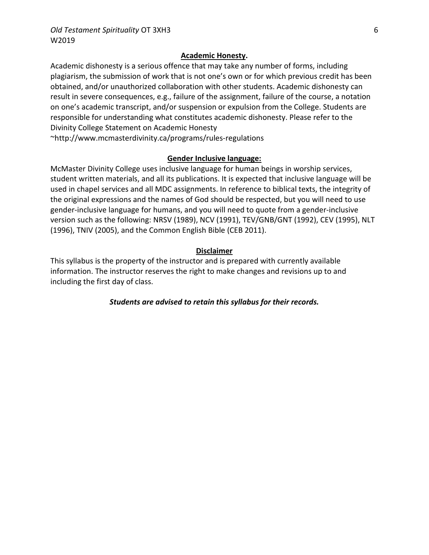# **Academic Honesty.**

Academic dishonesty is a serious offence that may take any number of forms, including plagiarism, the submission of work that is not one's own or for which previous credit has been obtained, and/or unauthorized collaboration with other students. Academic dishonesty can result in severe consequences, e.g., failure of the assignment, failure of the course, a notation on one's academic transcript, and/or suspension or expulsion from the College. Students are responsible for understanding what constitutes academic dishonesty. Please refer to the Divinity College Statement on Academic Honesty

[~http://www.mcmasterdivinity.ca/programs/rules-regulations](http://www.mcmasterdivinity.ca/programs/rules-regulations)

# **Gender Inclusive language:**

McMaster Divinity College uses inclusive language for human beings in worship services, student written materials, and all its publications. It is expected that inclusive language will be used in chapel services and all MDC assignments. In reference to biblical texts, the integrity of the original expressions and the names of God should be respected, but you will need to use gender-inclusive language for humans, and you will need to quote from a gender-inclusive version such as the following: NRSV (1989), NCV (1991), TEV/GNB/GNT (1992), CEV (1995), NLT (1996), TNIV (2005), and the Common English Bible (CEB 2011).

# **Disclaimer**

This syllabus is the property of the instructor and is prepared with currently available information. The instructor reserves the right to make changes and revisions up to and including the first day of class.

*Students are advised to retain this syllabus for their records.*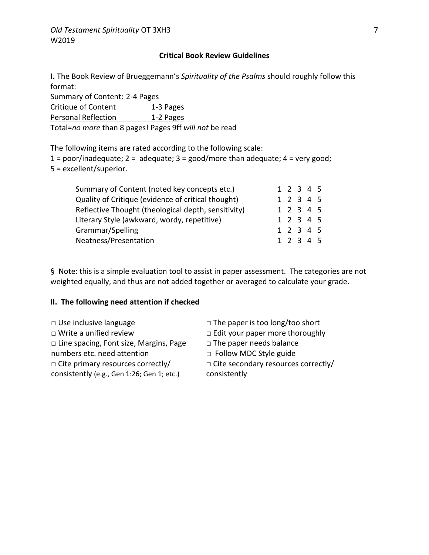#### **Critical Book Review Guidelines**

**I.** The Book Review of Brueggemann's *Spirituality of the Psalms* should roughly follow this format:

Summary of Content: 2-4 Pages Critique of Content 1-3 Pages Personal Reflection 1-2 Pages

Total=*no more* than 8 pages! Pages 9ff *will not* be read

The following items are rated according to the following scale:

1 = poor/inadequate; 2 = adequate; 3 = good/more than adequate; 4 = very good; 5 = excellent/superior.

| Summary of Content (noted key concepts etc.)        |  | 1 2 3 4 5 |  |
|-----------------------------------------------------|--|-----------|--|
| Quality of Critique (evidence of critical thought)  |  | 1 2 3 4 5 |  |
| Reflective Thought (theological depth, sensitivity) |  | 1 2 3 4 5 |  |
| Literary Style (awkward, wordy, repetitive)         |  | 1 2 3 4 5 |  |
| Grammar/Spelling                                    |  | 1 2 3 4 5 |  |
| Neatness/Presentation                               |  | 1 2 3 4 5 |  |

§ Note: this is a simple evaluation tool to assist in paper assessment. The categories are not weighted equally, and thus are not added together or averaged to calculate your grade.

#### **II. The following need attention if checked**

- 
- 
- □ Line spacing, Font size, Margins, Page
- numbers etc. need attention
- □ Cite primary resources correctly/

consistently (e.g., Gen 1:26; Gen 1; etc.)

- □ Use inclusive language □ □ The paper is too long/too short
- □ Write a unified review □ □ Edit your paper more thoroughly
	- $\Box$  The paper needs balance
	- □ Follow MDC Style guide
	- □ Cite secondary resources correctly/

consistently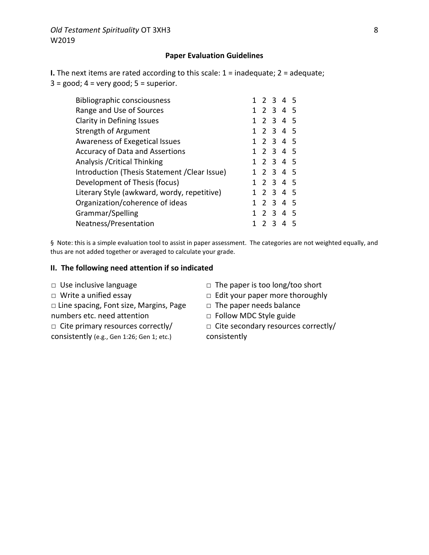#### **Paper Evaluation Guidelines**

**I.** The next items are rated according to this scale: 1 = inadequate; 2 = adequate;  $3 = \text{good}$ ;  $4 = \text{very good}$ ;  $5 = \text{superior}$ .

| <b>Bibliographic consciousness</b>            |  |       | 1 2 3 4 5 |    |
|-----------------------------------------------|--|-------|-----------|----|
| Range and Use of Sources                      |  |       | 1 2 3 4 5 |    |
| Clarity in Defining Issues                    |  |       | 1 2 3 4 5 |    |
| Strength of Argument                          |  |       | 1 2 3 4 5 |    |
| Awareness of Exegetical Issues                |  |       | 1 2 3 4 5 |    |
| <b>Accuracy of Data and Assertions</b>        |  |       | 1 2 3 4 5 |    |
| Analysis / Critical Thinking                  |  |       | 1 2 3 4 5 |    |
| Introduction (Thesis Statement / Clear Issue) |  |       | 1 2 3 4 5 |    |
| Development of Thesis (focus)                 |  |       | 1 2 3 4 5 |    |
| Literary Style (awkward, wordy, repetitive)   |  |       | 1 2 3 4 5 |    |
| Organization/coherence of ideas               |  |       | 1 2 3 4 5 |    |
| Grammar/Spelling                              |  |       | 2 3 4 5   |    |
| Neatness/Presentation                         |  | 2 3 4 |           | -5 |
|                                               |  |       |           |    |

§ Note: this is a simple evaluation tool to assist in paper assessment. The categories are not weighted equally, and thus are not added together or averaged to calculate your grade.

#### **II. The following need attention if so indicated**

- 
- 
- □ Line spacing, Font size, Margins, Page numbers etc. need attention
- $\Box$  Cite primary resources correctly/
- consistently (e.g., Gen 1:26; Gen 1; etc.)
- □ Use inclusive language □ □ The paper is too long/too short
- □ Write a unified essay <br>□ Edit your paper more thoroughly
	- □ The paper needs balance
	- □ Follow MDC Style guide
	- $\Box$  Cite secondary resources correctly/ consistently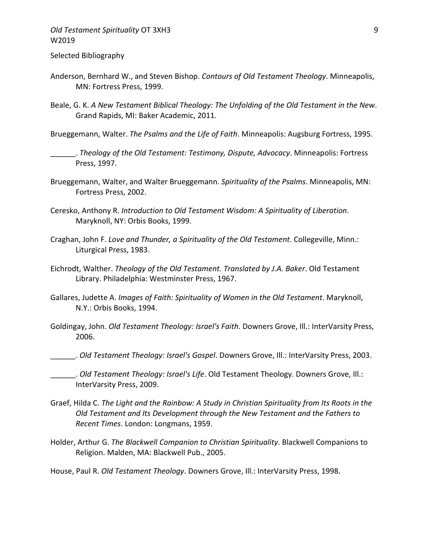# *Old Testament Spirituality* OT 3XH3 W2019

#### Selected Bibliography

- Anderson, Bernhard W., and Steven Bishop. *Contours of Old Testament Theology*. Minneapolis, MN: Fortress Press, 1999.
- Beale, G. K. *A New Testament Biblical Theology: The Unfolding of the Old Testament in the New*. Grand Rapids, MI: Baker Academic, 2011.
- Brueggemann, Walter. *The Psalms and the Life of Faith*. Minneapolis: Augsburg Fortress, 1995.
	- \_\_\_\_\_\_. *Theology of the Old Testament: Testimony, Dispute, Advocacy*. Minneapolis: Fortress Press, 1997.
- Brueggemann, Walter, and Walter Brueggemann. *Spirituality of the Psalms*. Minneapolis, MN: Fortress Press, 2002.
- Ceresko, Anthony R. *Introduction to Old Testament Wisdom: A Spirituality of Liberation*. Maryknoll, NY: Orbis Books, 1999.
- Craghan, John F. *Love and Thunder, a Spirituality of the Old Testament*. Collegeville, Minn.: Liturgical Press, 1983.
- Eichrodt, Walther. *Theology of the Old Testament. Translated by J.A. Baker*. Old Testament Library. Philadelphia: Westminster Press, 1967.
- Gallares, Judette A. *Images of Faith: Spirituality of Women in the Old Testament*. Maryknoll, N.Y.: Orbis Books, 1994.
- Goldingay, John. *Old Testament Theology: Israel's Faith*. Downers Grove, Ill.: InterVarsity Press, 2006.
	- \_\_\_\_\_\_. *Old Testament Theology: Israel's Gospel*. Downers Grove, Ill.: InterVarsity Press, 2003.
- \_\_\_\_\_\_. *Old Testament Theology: Israel's Life*. Old Testament Theology. Downers Grove, Ill.: InterVarsity Press, 2009.
- Graef, Hilda C. *The Light and the Rainbow: A Study in Christian Spirituality from Its Roots in the Old Testament and Its Development through the New Testament and the Fathers to Recent Times*. London: Longmans, 1959.
- Holder, Arthur G. *The Blackwell Companion to Christian Spirituality*. Blackwell Companions to Religion. Malden, MA: Blackwell Pub., 2005.
- House, Paul R. *Old Testament Theology*. Downers Grove, Ill.: InterVarsity Press, 1998.